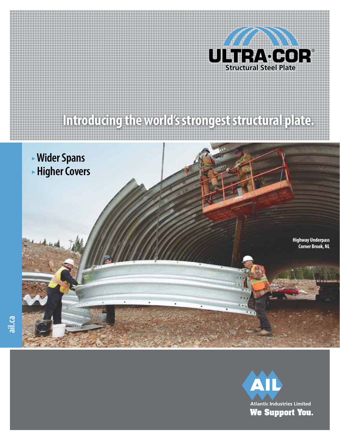

# **Introducing the world's strongest structural plate.**



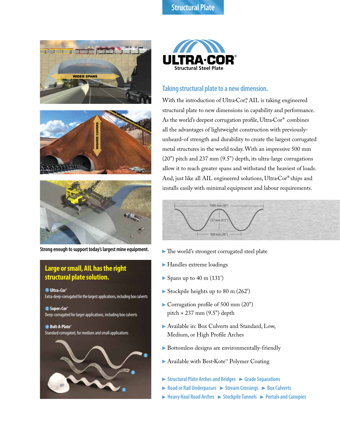# 主白 **START COLLEGE** WIDER SPANS





**Strong enough to support today's largest mine equipment.**

#### **Large or small, AIL has the right structural plate solution.**

 **Ultra•Cor® 1** Extra-deep-corrugated for the largest applications, including box culverts

 **Super•Cor® 2** Deep-corrugated for larger applications, including box culverts

#### **3** Bolt-A-Plate® Standard corrugated, for medium and small applications





#### **Taking structural plate to a new dimension.**

With the introduction of Ultra•Cor,® AIL is taking engineered structural plate to new dimensions in capability and performance. As the world's deepest corrugation profile, Ultra•Cor® combines all the advantages of lightweight construction with previouslyunheard-of strength and durability to create the largest corrugated metal structures in the world today. With an impressive 500 mm (20") pitch and 237 mm (9.5") depth, its ultra-large corrugations allow it to reach greater spans and withstand the heaviest of loads. And, just like all AIL engineered solutions, Ultra•Cor® ships and installs easily with minimal equipment and labour requirements.



- The world's strongest corrugated steel plate
- Handles extreme loadings
- Spans up to 40 m (131')
- Stockpile heights up to 80 m (262')
- Corrugation profile of 500 mm (20") pitch  $\times$  237 mm (9.5") depth
- Available in: Box Culverts and Standard, Low, Medium, or High Profile Arches
- Bottomless designs are environmentally-friendly
- Available with Best•Kote™ Polymer Coating
- ▶ Structural Plate Arches and Bridges ▶ Grade Separations
- ▶ Road or Rail Underpasses ▶ Stream Crossings ▶ Box Culverts
- ► Heavy Haul Road Arches ► Stockpile Tunnels ► Portals and Canopies

### **Structural Plate**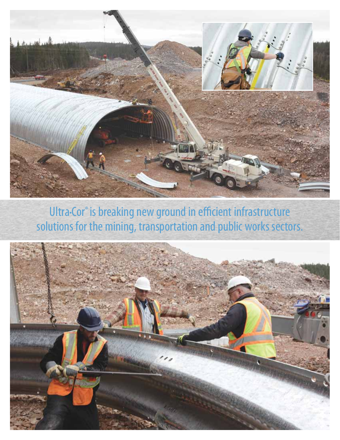

## Ultra•Cor® is breaking new ground in efficient infrastructure solutions for the mining, transportation and public works sectors.